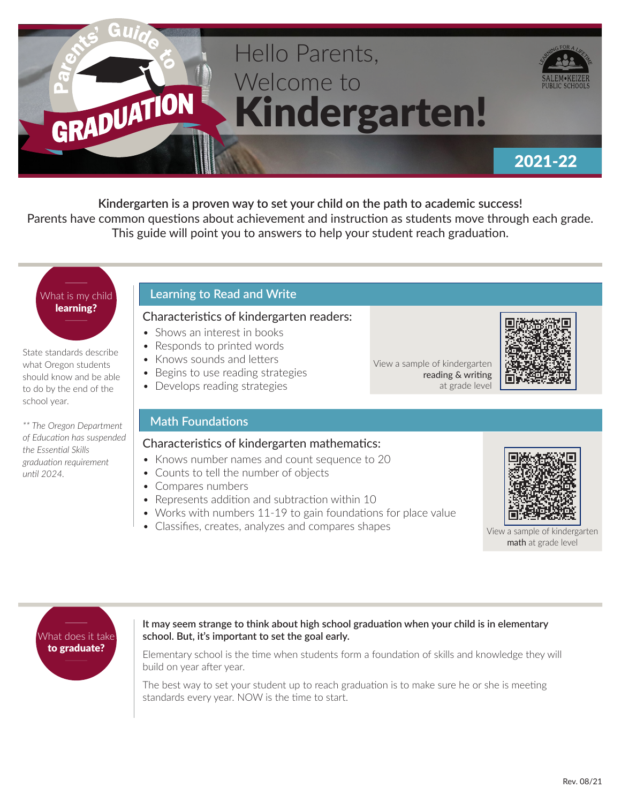

**Kindergarten is a proven way to set your child on the path to academic success!**  Parents have common questions about achievement and instruction as students move through each grade. This guide will point you to answers to help your student reach graduation.

# What is my child learning?

State standards describe what Oregon students should know and be able to do by the end of the school year.

*\*\* The Oregon Department of Education has suspended the Essential Skills graduation requirement until 2024.*

## **Learning to Read and Write**

## Characteristics of kindergarten readers:

- Shows an interest in books
- Responds to printed words
- Knows sounds and letters
- Begins to use reading strategies
- Develops reading strategies

## **Math Foundations**

## Characteristics of kindergarten mathematics:

- Knows number names and count sequence to 20
- Counts to tell the number of objects
- Compares numbers
- Represents addition and subtraction within 10
- Works with numbers 11-19 to gain foundations for place value
- Classifies, creates, analyzes and compares shapes View a sample of kindergarten



View a sample of kindergarten

reading & writing at grade level



math at grade level



### **It may seem strange to think about high school graduation when your child is in elementary school. But, it's important to set the goal early.**

Elementary school is the time when students form a foundation of skills and knowledge they will build on year after year.

The best way to set your student up to reach graduation is to make sure he or she is meeting standards every year. NOW is the time to start.